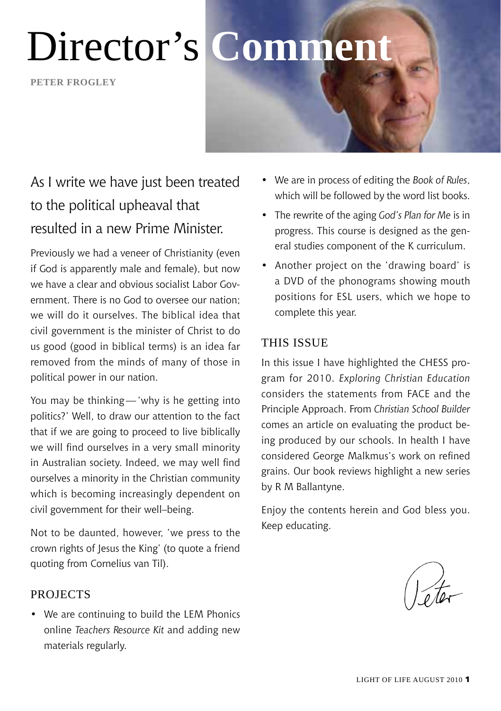# Director's **Comment**

**Peter frogley**

## As I write we have just been treated to the political upheaval that resulted in a new Prime Minister.

Previously we had a veneer of Christianity (even if God is apparently male and female), but now we have a clear and obvious socialist Labor Government. There is no God to oversee our nation; we will do it ourselves. The biblical idea that civil government is the minister of Christ to do us good (good in biblical terms) is an idea far removed from the minds of many of those in political power in our nation.

You may be thinking—'why is he getting into politics?' Well, to draw our attention to the fact that if we are going to proceed to live biblically we will find ourselves in a very small minority in Australian society. Indeed, we may well find ourselves a minority in the Christian community which is becoming increasingly dependent on civil government for their well–being.

Not to be daunted, however, 'we press to the crown rights of Jesus the King' (to quote a friend quoting from Cornelius van Til).

#### **PROJECTS**

• We are continuing to build the LEM Phonics online *Teachers Resource Kit* and adding new materials regularly.

- We are in process of editing the *Book of Rules*, which will be followed by the word list books.
- The rewrite of the aging *God's Plan for Me* is in progress. This course is designed as the general studies component of the K curriculum.
- Another project on the 'drawing board' is a DVD of the phonograms showing mouth positions for ESL users, which we hope to complete this year.

#### This Issue

In this issue I have highlighted the CHESS program for 2010. *Exploring Christian Education*  considers the statements from FACE and the Principle Approach. From *Christian School Builder*  comes an article on evaluating the product being produced by our schools. In health I have considered George Malkmus's work on refined grains. Our book reviews highlight a new series by R M Ballantyne.

Enjoy the contents herein and God bless you. Keep educating.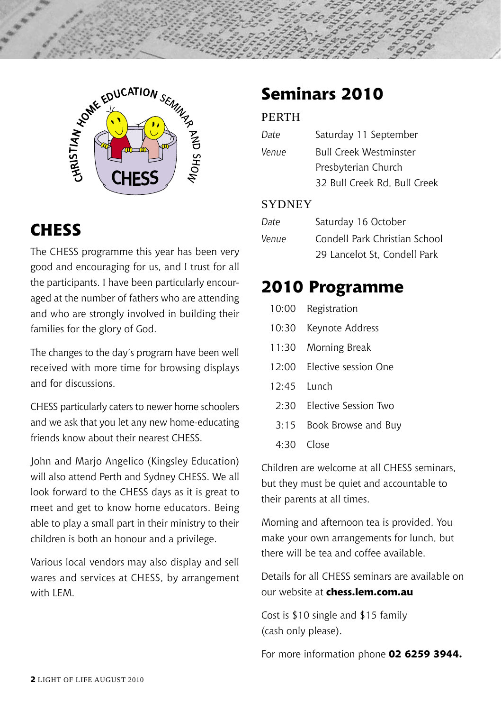

### **CHESS**

The CHESS programme this year has been very good and encouraging for us, and I trust for all the participants. I have been particularly encouraged at the number of fathers who are attending and who are strongly involved in building their families for the glory of God.

The changes to the day's program have been well received with more time for browsing displays and for discussions.

CHESS particularly caters to newer home schoolers and we ask that you let any new home-educating friends know about their nearest CHESS.

John and Marjo Angelico (Kingsley Education) will also attend Perth and Sydney CHESS. We all look forward to the CHESS days as it is great to meet and get to know home educators. Being able to play a small part in their ministry to their children is both an honour and a privilege.

Various local vendors may also display and sell wares and services at CHESS, by arrangement with LEM.

### **Seminars 2010**

#### **PERTH**

| Date  | Saturday 11 September         |  |  |
|-------|-------------------------------|--|--|
| Venue | <b>Bull Creek Westminster</b> |  |  |
|       | Presbyterian Church           |  |  |
|       | 32 Bull Creek Rd, Bull Creek  |  |  |

#### **SYDNEY**

| Date  | Saturday 16 October           |  |
|-------|-------------------------------|--|
| Venue | Condell Park Christian School |  |
|       | 29 Lancelot St. Condell Park  |  |

### **2010 Programme**

|             | 10:00 Registration         |
|-------------|----------------------------|
| 10:30       | Keynote Address            |
| 11:30       | Morning Break              |
|             | 12:00 Elective session One |
| 12:45 Lunch |                            |
|             | 2:30 Elective Session Two  |
| 3:15        | Book Browse and Buy        |
|             | $4:30$ Close               |
|             |                            |

Children are welcome at all CHESS seminars, but they must be quiet and accountable to their parents at all times.

Morning and afternoon tea is provided. You make your own arrangements for lunch, but there will be tea and coffee available.

Details for all CHESS seminars are available on our website at **chess.lem.com.au**

Cost is \$10 single and \$15 family (cash only please).

For more information phone **02 6259 3944.**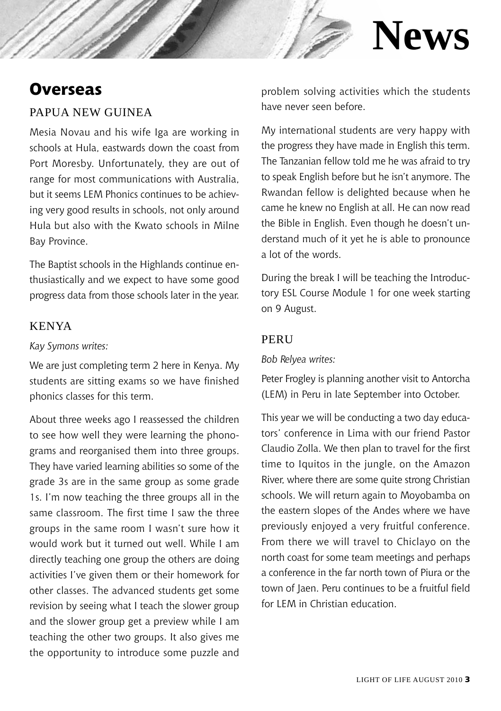### **Overseas**

#### Papua New Guinea

Mesia Novau and his wife Iga are working in schools at Hula, eastwards down the coast from Port Moresby. Unfortunately, they are out of range for most communications with Australia, but it seems LEM Phonics continues to be achieving very good results in schools, not only around Hula but also with the Kwato schools in Milne Bay Province.

The Baptist schools in the Highlands continue enthusiastically and we expect to have some good progress data from those schools later in the year.

#### Kenya

#### *Kay Symons writes:*

We are just completing term 2 here in Kenya. My students are sitting exams so we have finished phonics classes for this term.

About three weeks ago I reassessed the children to see how well they were learning the phonograms and reorganised them into three groups. They have varied learning abilities so some of the grade 3s are in the same group as some grade 1s. I'm now teaching the three groups all in the same classroom. The first time I saw the three groups in the same room I wasn't sure how it would work but it turned out well. While I am directly teaching one group the others are doing activities I've given them or their homework for other classes. The advanced students get some revision by seeing what I teach the slower group and the slower group get a preview while I am teaching the other two groups. It also gives me the opportunity to introduce some puzzle and

problem solving activities which the students have never seen before.

**News**

My international students are very happy with the progress they have made in English this term. The Tanzanian fellow told me he was afraid to try to speak English before but he isn't anymore. The Rwandan fellow is delighted because when he came he knew no English at all. He can now read the Bible in English. Even though he doesn't understand much of it yet he is able to pronounce a lot of the words.

During the break I will be teaching the Introductory ESL Course Module 1 for one week starting on 9 August.

#### PERU

#### *Bob Relyea writes:*

Peter Frogley is planning another visit to Antorcha (LEM) in Peru in late September into October.

This year we will be conducting a two day educators' conference in Lima with our friend Pastor Claudio Zolla. We then plan to travel for the first time to Iquitos in the jungle, on the Amazon River, where there are some quite strong Christian schools. We will return again to Moyobamba on the eastern slopes of the Andes where we have previously enjoyed a very fruitful conference. From there we will travel to Chiclayo on the north coast for some team meetings and perhaps a conference in the far north town of Piura or the town of Jaen. Peru continues to be a fruitful field for LEM in Christian education.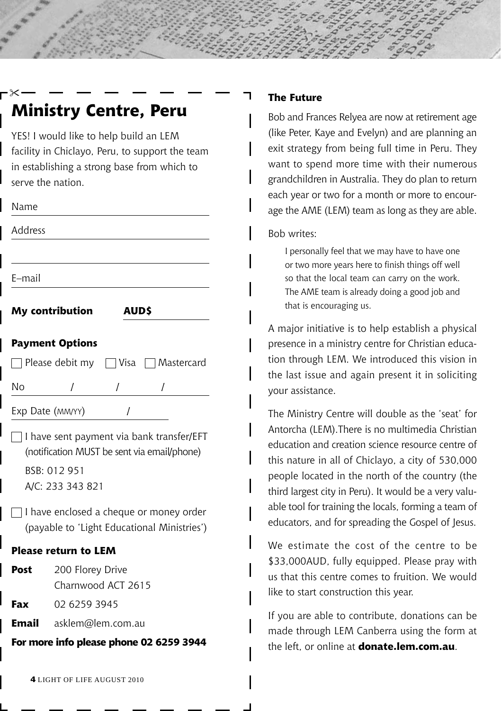YES! I would like to help build an LEM facility in Chiclayo, Peru, to support the team in establishing a strong base from which to serve the nation.

| ×<br>۰<br>. . |
|---------------|
|---------------|

╳

Address

E–mail

**My contribution** 

| ۰,<br>۰, |  |
|----------|--|
|----------|--|

#### **Payment Options**

| Please debit my | □ Visa | Mastercard |
|-----------------|--------|------------|
|-----------------|--------|------------|

No / / /

Exp Date (MM/YY) /

 $\Box$  I have sent payment via bank transfer/EFT (notification MUST be sent via email/phone) BSB: 012 951 A/C: 233 343 821

 $\Box$  I have enclosed a cheque or money order (payable to 'Light Educational Ministries')

#### **Please return to LEM**

Post 200 Florey Drive Charnwood ACT 2615

**Fax** 02 6259 3945

**Email** asklem@lem.com.au

**For more info please phone 02 6259 3944**

#### **The Future**

Bob and Frances Relyea are now at retirement age (like Peter, Kaye and Evelyn) and are planning an exit strategy from being full time in Peru. They want to spend more time with their numerous grandchildren in Australia. They do plan to return each year or two for a month or more to encourage the AME (LEM) team as long as they are able.

Bob writes:

I personally feel that we may have to have one or two more years here to finish things off well so that the local team can carry on the work. The AME team is already doing a good job and that is encouraging us.

A major initiative is to help establish a physical presence in a ministry centre for Christian education through LEM. We introduced this vision in the last issue and again present it in soliciting your assistance.

The Ministry Centre will double as the 'seat' for Antorcha (LEM).There is no multimedia Christian education and creation science resource centre of this nature in all of Chiclayo, a city of 530,000 people located in the north of the country (the third largest city in Peru). It would be a very valuable tool for training the locals, forming a team of educators, and for spreading the Gospel of Jesus.

We estimate the cost of the centre to be \$33,000AUD, fully equipped. Please pray with us that this centre comes to fruition. We would like to start construction this year.

If you are able to contribute, donations can be made through LEM Canberra using the form at the left, or online at **donate.lem.com.au**.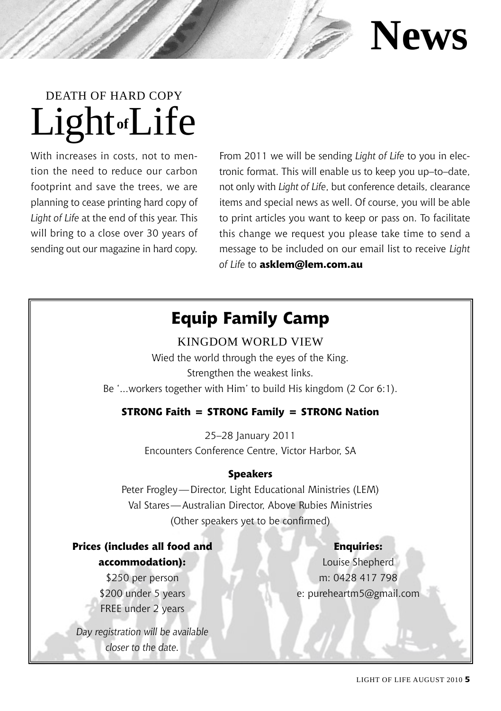

# Light**of**Life Death of Hard Copy

With increases in costs, not to mention the need to reduce our carbon footprint and save the trees, we are planning to cease printing hard copy of *Light of Life* at the end of this year. This will bring to a close over 30 years of sending out our magazine in hard copy. From 2011 we will be sending *Light of Life* to you in electronic format. This will enable us to keep you up–to–date, not only with *Light of Life*, but conference details, clearance items and special news as well. Of course, you will be able to print articles you want to keep or pass on. To facilitate this change we request you please take time to send a message to be included on our email list to receive *Light of Life* to **asklem@lem.com.au**

### **Equip Family Camp**

Kingdom World View Wied the world through the eyes of the King. Strengthen the weakest links. Be '...workers together with Him' to build His kingdom (2 Cor 6:1).

#### **STRONG Faith = STRONG Family = STRONG Nation**

25–28 January 2011 Encounters Conference Centre, Victor Harbor, SA

#### **Speakers**

Peter Frogley—Director, Light Educational Ministries (LEM) Val Stares—Australian Director, Above Rubies Ministries (Other speakers yet to be confirmed)

#### **Enquiries:**

**Prices (includes all food and accommodation):**

> \$250 per person \$200 under 5 years FREE under 2 years

*Day registration will be available closer to the date.*

Louise Shepherd m: 0428 417 798 e: pureheartm5@gmail.com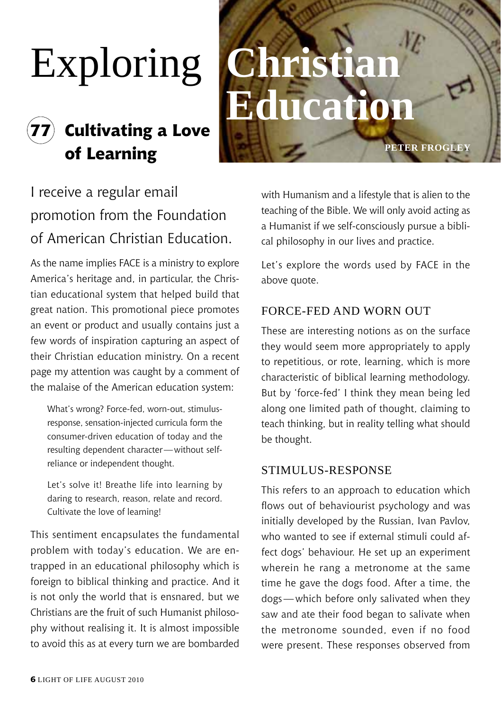# Exploring **Christian**

# **77 Cultivating a Love of Learning**

# **Education**

I receive a regular email promotion from the Foundation of American Christian Education.

As the name implies FACE is a ministry to explore America's heritage and, in particular, the Christian educational system that helped build that great nation. This promotional piece promotes an event or product and usually contains just a few words of inspiration capturing an aspect of their Christian education ministry. On a recent page my attention was caught by a comment of the malaise of the American education system:

What's wrong? Force-fed, worn-out, stimulusresponse, sensation-injected curricula form the consumer-driven education of today and the resulting dependent character—without selfreliance or independent thought.

Let's solve it! Breathe life into learning by daring to research, reason, relate and record. Cultivate the love of learning!

This sentiment encapsulates the fundamental problem with today's education. We are entrapped in an educational philosophy which is foreign to biblical thinking and practice. And it is not only the world that is ensnared, but we Christians are the fruit of such Humanist philosophy without realising it. It is almost impossible to avoid this as at every turn we are bombarded

with Humanism and a lifestyle that is alien to the teaching of the Bible. We will only avoid acting as a Humanist if we self-consciously pursue a biblical philosophy in our lives and practice.

**Peter frogley**

Let's explore the words used by FACE in the above quote.

#### Force-fed and worn out

These are interesting notions as on the surface they would seem more appropriately to apply to repetitious, or rote, learning, which is more characteristic of biblical learning methodology. But by 'force-fed' I think they mean being led along one limited path of thought, claiming to teach thinking, but in reality telling what should be thought.

#### Stimulus-Response

This refers to an approach to education which flows out of behaviourist psychology and was initially developed by the Russian, Ivan Pavlov, who wanted to see if external stimuli could affect dogs' behaviour. He set up an experiment wherein he rang a metronome at the same time he gave the dogs food. After a time, the dogs—which before only salivated when they saw and ate their food began to salivate when the metronome sounded, even if no food were present. These responses observed from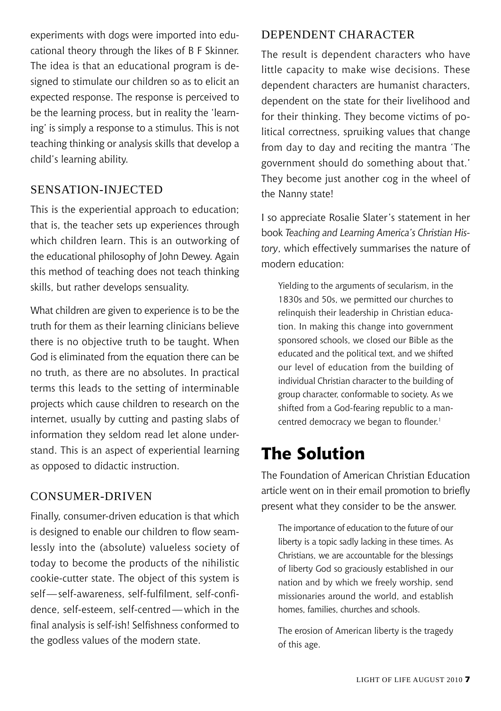experiments with dogs were imported into educational theory through the likes of B F Skinner. The idea is that an educational program is designed to stimulate our children so as to elicit an expected response. The response is perceived to be the learning process, but in reality the 'learning' is simply a response to a stimulus. This is not teaching thinking or analysis skills that develop a child's learning ability.

#### Sensation-injected

This is the experiential approach to education; that is, the teacher sets up experiences through which children learn. This is an outworking of the educational philosophy of John Dewey. Again this method of teaching does not teach thinking skills, but rather develops sensuality.

What children are given to experience is to be the truth for them as their learning clinicians believe there is no objective truth to be taught. When God is eliminated from the equation there can be no truth, as there are no absolutes. In practical terms this leads to the setting of interminable projects which cause children to research on the internet, usually by cutting and pasting slabs of information they seldom read let alone understand. This is an aspect of experiential learning as opposed to didactic instruction.

#### Consumer-driven

Finally, consumer-driven education is that which is designed to enable our children to flow seamlessly into the (absolute) valueless society of today to become the products of the nihilistic cookie-cutter state. The object of this system is self—self-awareness, self-fulfilment, self-confidence, self-esteem, self-centred—which in the final analysis is self-ish! Selfishness conformed to the godless values of the modern state.

#### Dependent character

The result is dependent characters who have little capacity to make wise decisions. These dependent characters are humanist characters, dependent on the state for their livelihood and for their thinking. They become victims of political correctness, spruiking values that change from day to day and reciting the mantra 'The government should do something about that.' They become just another cog in the wheel of the Nanny state!

I so appreciate Rosalie Slater's statement in her book *Teaching and Learning America's Christian History*, which effectively summarises the nature of modern education:

Yielding to the arguments of secularism, in the 1830s and 50s, we permitted our churches to relinquish their leadership in Christian education. In making this change into government sponsored schools, we closed our Bible as the educated and the political text, and we shifted our level of education from the building of individual Christian character to the building of group character, conformable to society. As we shifted from a God-fearing republic to a mancentred democracy we began to flounder.<sup>1</sup>

### **The Solution**

The Foundation of American Christian Education article went on in their email promotion to briefly present what they consider to be the answer.

The importance of education to the future of our liberty is a topic sadly lacking in these times. As Christians, we are accountable for the blessings of liberty God so graciously established in our nation and by which we freely worship, send missionaries around the world, and establish homes, families, churches and schools.

The erosion of American liberty is the tragedy of this age.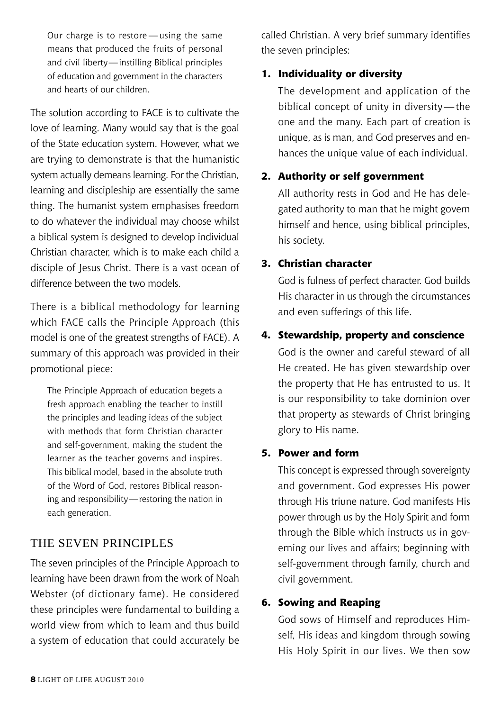Our charge is to restore — using the same means that produced the fruits of personal and civil liberty—instilling Biblical principles of education and government in the characters and hearts of our children.

The solution according to FACE is to cultivate the love of learning. Many would say that is the goal of the State education system. However, what we are trying to demonstrate is that the humanistic system actually demeans learning. For the Christian, learning and discipleship are essentially the same thing. The humanist system emphasises freedom to do whatever the individual may choose whilst a biblical system is designed to develop individual Christian character, which is to make each child a disciple of Iesus Christ. There is a vast ocean of difference between the two models

There is a biblical methodology for learning which FACE calls the Principle Approach (this model is one of the greatest strengths of FACE). A summary of this approach was provided in their promotional piece:

The Principle Approach of education begets a fresh approach enabling the teacher to instill the principles and leading ideas of the subject with methods that form Christian character and self-government, making the student the learner as the teacher governs and inspires. This biblical model, based in the absolute truth of the Word of God, restores Biblical reasoning and responsibility—restoring the nation in each generation.

#### The seven Principles

The seven principles of the Principle Approach to learning have been drawn from the work of Noah Webster (of dictionary fame). He considered these principles were fundamental to building a world view from which to learn and thus build a system of education that could accurately be

called Christian. A very brief summary identifies the seven principles:

#### **1. Individuality or diversity**

The development and application of the biblical concept of unity in diversity—the one and the many. Each part of creation is unique, as is man, and God preserves and enhances the unique value of each individual.

#### **2. Authority or self government**

All authority rests in God and He has delegated authority to man that he might govern himself and hence, using biblical principles, his society.

#### **3. Christian character**

God is fulness of perfect character. God builds His character in us through the circumstances and even sufferings of this life.

#### **4. Stewardship, property and conscience**

God is the owner and careful steward of all He created. He has given stewardship over the property that He has entrusted to us. It is our responsibility to take dominion over that property as stewards of Christ bringing glory to His name.

#### **5. Power and form**

This concept is expressed through sovereignty and government. God expresses His power through His triune nature. God manifests His power through us by the Holy Spirit and form through the Bible which instructs us in governing our lives and affairs; beginning with self-government through family, church and civil government.

#### **6. Sowing and Reaping**

God sows of Himself and reproduces Himself, His ideas and kingdom through sowing His Holy Spirit in our lives. We then sow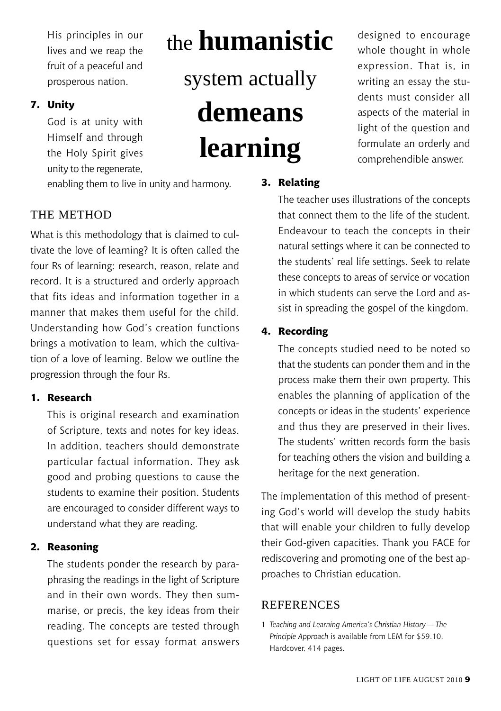His principles in our lives and we reap the fruit of a peaceful and prosperous nation.

#### **7. Unity**

God is at unity with Himself and through the Holy Spirit gives unity to the regenerate,

# the **humanistic**

system actually **demeans learning**

enabling them to live in unity and harmony.

#### THE METHOD

What is this methodology that is claimed to cultivate the love of learning? It is often called the four Rs of learning: research, reason, relate and record. It is a structured and orderly approach that fits ideas and information together in a manner that makes them useful for the child. Understanding how God's creation functions brings a motivation to learn, which the cultivation of a love of learning. Below we outline the progression through the four Rs.

#### **1. Research**

This is original research and examination of Scripture, texts and notes for key ideas. In addition, teachers should demonstrate particular factual information. They ask good and probing questions to cause the students to examine their position. Students are encouraged to consider different ways to understand what they are reading.

#### **2. Reasoning**

The students ponder the research by paraphrasing the readings in the light of Scripture and in their own words. They then summarise, or precis, the key ideas from their reading. The concepts are tested through questions set for essay format answers designed to encourage whole thought in whole expression. That is, in writing an essay the students must consider all aspects of the material in light of the question and formulate an orderly and comprehendible answer.

#### **3. Relating**

The teacher uses illustrations of the concepts that connect them to the life of the student. Endeavour to teach the concepts in their natural settings where it can be connected to the students' real life settings. Seek to relate these concepts to areas of service or vocation in which students can serve the Lord and assist in spreading the gospel of the kingdom.

#### **4. Recording**

The concepts studied need to be noted so that the students can ponder them and in the process make them their own property. This enables the planning of application of the concepts or ideas in the students' experience and thus they are preserved in their lives. The students' written records form the basis for teaching others the vision and building a heritage for the next generation.

The implementation of this method of presenting God's world will develop the study habits that will enable your children to fully develop their God-given capacities. Thank you FACE for rediscovering and promoting one of the best approaches to Christian education.

#### **REFERENCES**

1 *Teaching and Learning America's Christian History—The Principle Approach* is available from LEM for \$59.10. Hardcover, 414 pages.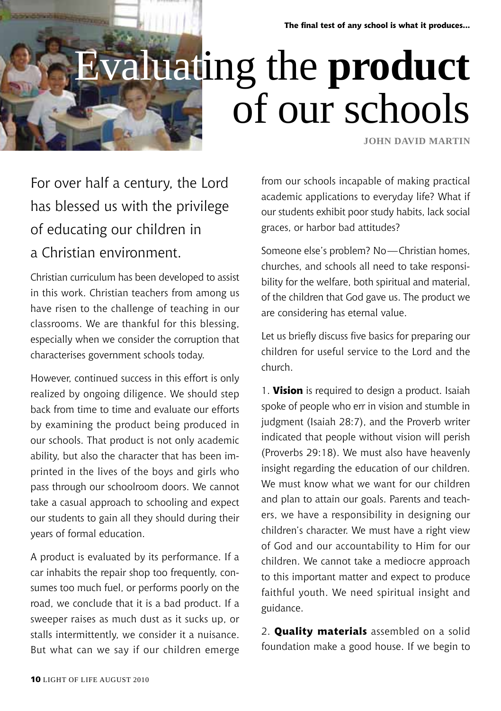**The final test of any school is what it produces...**

# luating the **product** of our schools

**John David Martin**

# For over half a century, the Lord has blessed us with the privilege of educating our children in a Christian environment.

Christian curriculum has been developed to assist in this work. Christian teachers from among us have risen to the challenge of teaching in our classrooms. We are thankful for this blessing, especially when we consider the corruption that characterises government schools today.

However, continued success in this effort is only realized by ongoing diligence. We should step back from time to time and evaluate our efforts by examining the product being produced in our schools. That product is not only academic ability, but also the character that has been imprinted in the lives of the boys and girls who pass through our schoolroom doors. We cannot take a casual approach to schooling and expect our students to gain all they should during their years of formal education.

A product is evaluated by its performance. If a car inhabits the repair shop too frequently, consumes too much fuel, or performs poorly on the road, we conclude that it is a bad product. If a sweeper raises as much dust as it sucks up, or stalls intermittently, we consider it a nuisance. But what can we say if our children emerge

from our schools incapable of making practical academic applications to everyday life? What if our students exhibit poor study habits, lack social graces, or harbor bad attitudes?

Someone else's problem? No—Christian homes, churches, and schools all need to take responsibility for the welfare, both spiritual and material, of the children that God gave us. The product we are considering has eternal value.

Let us briefly discuss five basics for preparing our children for useful service to the Lord and the church.

1. **Vision** is required to design a product. Isaiah spoke of people who err in vision and stumble in judgment (Isaiah 28:7), and the Proverb writer indicated that people without vision will perish (Proverbs 29:18). We must also have heavenly insight regarding the education of our children. We must know what we want for our children and plan to attain our goals. Parents and teachers, we have a responsibility in designing our children's character. We must have a right view of God and our accountability to Him for our children. We cannot take a mediocre approach to this important matter and expect to produce faithful youth. We need spiritual insight and guidance.

2. **Quality materials** assembled on a solid foundation make a good house. If we begin to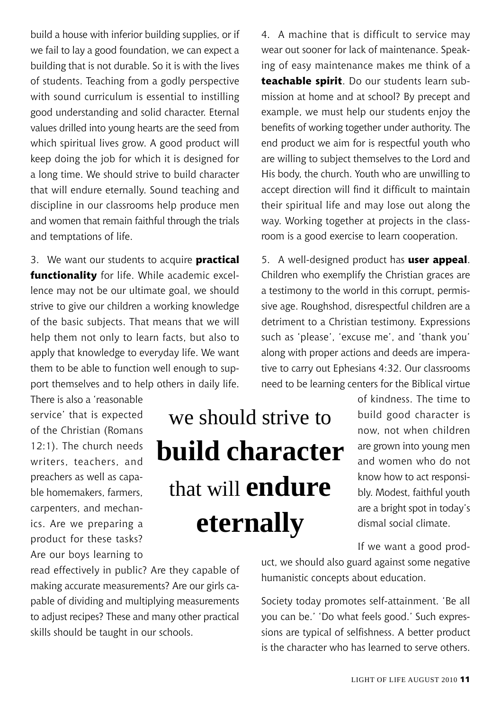build a house with inferior building supplies, or if we fail to lay a good foundation, we can expect a building that is not durable. So it is with the lives of students. Teaching from a godly perspective with sound curriculum is essential to instilling good understanding and solid character. Eternal values drilled into young hearts are the seed from which spiritual lives grow. A good product will keep doing the job for which it is designed for a long time. We should strive to build character that will endure eternally. Sound teaching and discipline in our classrooms help produce men and women that remain faithful through the trials and temptations of life.

3. We want our students to acquire **practical functionality** for life. While academic excellence may not be our ultimate goal, we should strive to give our children a working knowledge of the basic subjects. That means that we will help them not only to learn facts, but also to apply that knowledge to everyday life. We want them to be able to function well enough to support themselves and to help others in daily life.

There is also a 'reasonable service' that is expected of the Christian (Romans 12:1). The church needs writers, teachers, and preachers as well as capable homemakers, farmers, carpenters, and mechanics. Are we preparing a product for these tasks? Are our boys learning to

# we should strive to **build character** that will **endure eternally**

read effectively in public? Are they capable of making accurate measurements? Are our girls capable of dividing and multiplying measurements to adjust recipes? These and many other practical skills should be taught in our schools.

4. A machine that is difficult to service may wear out sooner for lack of maintenance. Speaking of easy maintenance makes me think of a **teachable spirit**. Do our students learn submission at home and at school? By precept and example, we must help our students enjoy the benefits of working together under authority. The end product we aim for is respectful youth who are willing to subject themselves to the Lord and His body, the church. Youth who are unwilling to accept direction will find it difficult to maintain their spiritual life and may lose out along the way. Working together at projects in the classroom is a good exercise to learn cooperation.

5. A well-designed product has **user appeal**. Children who exemplify the Christian graces are a testimony to the world in this corrupt, permissive age. Roughshod, disrespectful children are a detriment to a Christian testimony. Expressions such as 'please', 'excuse me', and 'thank you' along with proper actions and deeds are imperative to carry out Ephesians 4:32. Our classrooms need to be learning centers for the Biblical virtue

> of kindness. The time to build good character is now, not when children are grown into young men and women who do not know how to act responsibly. Modest, faithful youth are a bright spot in today's dismal social climate.

If we want a good prod-

uct, we should also guard against some negative humanistic concepts about education.

Society today promotes self-attainment. 'Be all you can be.' 'Do what feels good.' Such expressions are typical of selfishness. A better product is the character who has learned to serve others.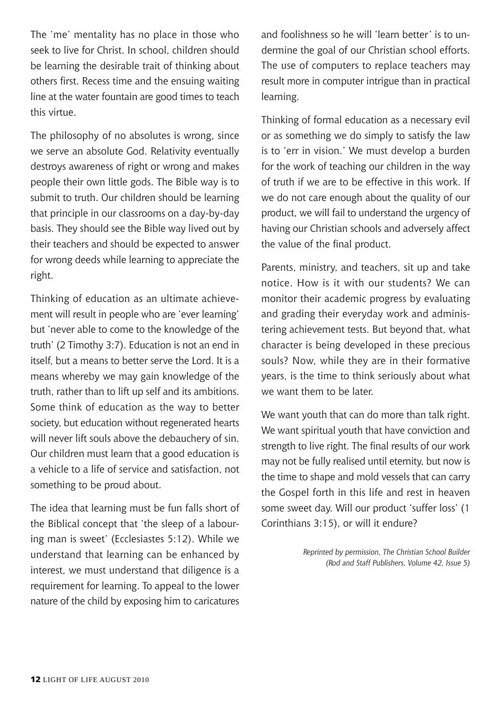The 'me' mentality has no place in those who seek to live for Christ. In school, children should be learning the desirable trait of thinking about others first. Recess time and the ensuing waiting line at the water fountain are good times to teach this virtue.

The philosophy of no absolutes is wrong, since we serve an absolute God. Relativity eventually destroys awareness of right or wrong and makes people their own little gods. The Bible way is to submit to truth. Our children should be learning that principle in our classrooms on a day-by-day basis. They should see the Bible way lived out by their teachers and should be expected to answer for wrong deeds while learning to appreciate the right.

Thinking of education as an ultimate achievement will result in people who are 'ever learning' but 'never able to come to the knowledge of the truth' (2 Timothy 3:7). Education is not an end in itself, but a means to better serve the Lord. It is a means whereby we may gain knowledge of the truth, rather than to lift up self and its ambitions. Some think of education as the way to better society, but education without regenerated hearts will never lift souls above the debauchery of sin. Our children must learn that a good education is a vehicle to a life of service and satisfaction, not something to be proud about.

The idea that learning must be fun falls short of the Biblical concept that 'the sleep of a labouring man is sweet' (Ecclesiastes 5:12). While we understand that learning can be enhanced by interest, we must understand that diligence is a requirement for learning. To appeal to the lower nature of the child by exposing him to caricatures

and foolishness so he will 'learn better' is to undermine the goal of our Christian school efforts. The use of computers to replace teachers may result more in computer intrigue than in practical learning.

Thinking of formal education as a necessary evil or as something we do simply to satisfy the law is to 'err in vision.' We must develop a burden for the work of teaching our children in the way of truth if we are to be effective in this work. If we do not care enough about the quality of our product, we will fail to understand the urgency of having our Christian schools and adversely affect the value of the final product.

Parents, ministry, and teachers, sit up and take notice. How is it with our students? We can monitor their academic progress by evaluating and grading their everyday work and administering achievement tests. But beyond that, what character is being developed in these precious souls? Now, while they are in their formative years, is the time to think seriously about what we want them to be later.

We want youth that can do more than talk right. We want spiritual youth that have conviction and strength to live right. The final results of our work may not be fully realised until eternity, but now is the time to shape and mold vessels that can carry the Gospel forth in this life and rest in heaven some sweet day. Will our product 'suffer loss' (1 Corinthians 3:15), or will it endure?

> *Reprinted by permission, The Christian School Builder (Rod and Staff Publishers, Volume 42, Issue 5)*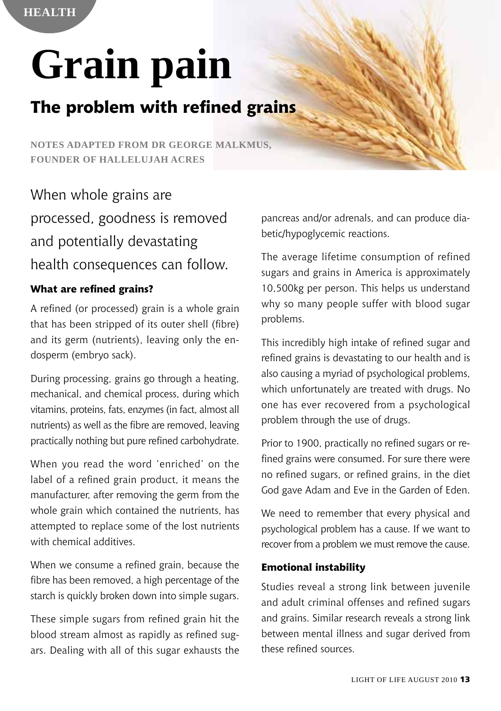# **Grain pain**

# **The problem with refined grains**

**Notes adapted from Dr George Malkmus, Founder of Hallelujah Acres**

When whole grains are processed, goodness is removed and potentially devastating health consequences can follow.

#### **What are refined grains?**

A refined (or processed) grain is a whole grain that has been stripped of its outer shell (fibre) and its germ (nutrients), leaving only the endosperm (embryo sack).

During processing, grains go through a heating, mechanical, and chemical process, during which vitamins, proteins, fats, enzymes (in fact, almost all nutrients) as well as the fibre are removed, leaving practically nothing but pure refined carbohydrate.

When you read the word 'enriched' on the label of a refined grain product, it means the manufacturer, after removing the germ from the whole grain which contained the nutrients, has attempted to replace some of the lost nutrients with chemical additives.

When we consume a refined grain, because the fibre has been removed, a high percentage of the starch is quickly broken down into simple sugars.

These simple sugars from refined grain hit the blood stream almost as rapidly as refined sugars. Dealing with all of this sugar exhausts the pancreas and/or adrenals, and can produce diabetic/hypoglycemic reactions.

The average lifetime consumption of refined sugars and grains in America is approximately 10,500kg per person. This helps us understand why so many people suffer with blood sugar problems.

This incredibly high intake of refined sugar and refined grains is devastating to our health and is also causing a myriad of psychological problems, which unfortunately are treated with drugs. No one has ever recovered from a psychological problem through the use of drugs.

Prior to 1900, practically no refined sugars or refined grains were consumed. For sure there were no refined sugars, or refined grains, in the diet God gave Adam and Eve in the Garden of Eden.

We need to remember that every physical and psychological problem has a cause. If we want to recover from a problem we must remove the cause.

#### **Emotional instability**

Studies reveal a strong link between juvenile and adult criminal offenses and refined sugars and grains. Similar research reveals a strong link between mental illness and sugar derived from these refined sources.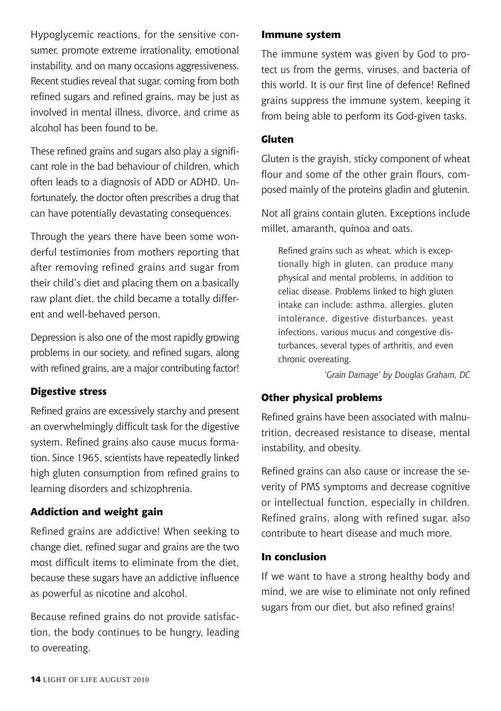Hypoglycemic reactions, for the sensitive consumer, promote extreme irrationality, emotional instability, and on many occasions aggressiveness. Recent studies reveal that sugar, coming from both refined sugars and refined grains, may be just as involved in mental illness, divorce, and crime as alcohol has been found to be.

These refined grains and sugars also play a significant role in the bad behaviour of children, which often leads to a diagnosis of ADD or ADHD. Unfortunately, the doctor often prescribes a drug that can have potentially devastating consequences.

Through the years there have been some wonderful testimonies from mothers reporting that after removing refined grains and sugar from their child's diet and placing them on a basically raw plant diet, the child became a totally different and well-behaved person.

Depression is also one of the most rapidly growing problems in our society, and refined sugars, along with refined grains, are a major contributing factor!

#### **Digestive stress**

Refined grains are excessively starchy and present an overwhelmingly difficult task for the digestive system. Refined grains also cause mucus formation. Since 1965, scientists have repeatedly linked high gluten consumption from refined grains to learning disorders and schizophrenia.

#### **Addiction and weight gain**

Refined grains are addictive! When seeking to change diet, refined sugar and grains are the two most difficult items to eliminate from the diet, because these sugars have an addictive influence as powerful as nicotine and alcohol.

Because refined grains do not provide satisfaction, the body continues to be hungry, leading to overeating.

#### **Immune system**

The immune system was given by God to protect us from the germs, viruses, and bacteria of this world. It is our first line of defence! Refined grains suppress the immune system, keeping it from being able to perform its God-given tasks.

#### **Gluten**

Gluten is the grayish, sticky component of wheat flour and some of the other grain flours, composed mainly of the proteins gladin and glutenin.

Not all grains contain gluten. Exceptions include millet, amaranth, quinoa and oats.

Refined grains such as wheat, which is exceptionally high in gluten, can produce many physical and mental problems, in addition to celiac disease. Problems linked to high gluten intake can include: asthma, allergies, gluten intolerance, digestive disturbances, yeast infections, various mucus and congestive disturbances, several types of arthritis, and even chronic overeating.

*'Grain Damage' by Douglas Graham, DC*

#### **Other physical problems**

Refined grains have been associated with malnutrition, decreased resistance to disease, mental instability, and obesity.

Refined grains can also cause or increase the severity of PMS symptoms and decrease cognitive or intellectual function, especially in children. Refined grains, along with refined sugar, also contribute to heart disease and much more.

#### **In conclusion**

If we want to have a strong healthy body and mind, we are wise to eliminate not only refined sugars from our diet, but also refined grains!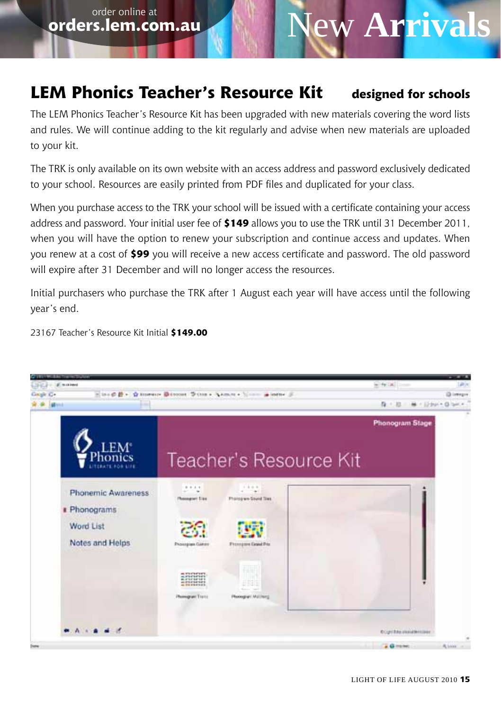**order online at**<br>**orders.lem.com.au** 

# **New Arrivals**

### **LEM Phonics Teacher's Resource Kit designed for schools**

The LEM Phonics Teacher's Resource Kit has been upgraded with new materials covering the word lists and rules. We will continue adding to the kit regularly and advise when new materials are uploaded to your kit.

The TRK is only available on its own website with an access address and password exclusively dedicated to your school. Resources are easily printed from PDF files and duplicated for your class.

When you purchase access to the TRK your school will be issued with a certificate containing your access address and password. Your initial user fee of **\$149** allows you to use the TRK until 31 December 2011, when you will have the option to renew your subscription and continue access and updates. When you renew at a cost of **\$99** you will receive a new access certificate and password. The old password will expire after 31 December and will no longer access the resources.

Initial purchasers who purchase the TRK after 1 August each year will have access until the following year's end.

23167 Teacher's Resource Kit Initial **\$149.00**

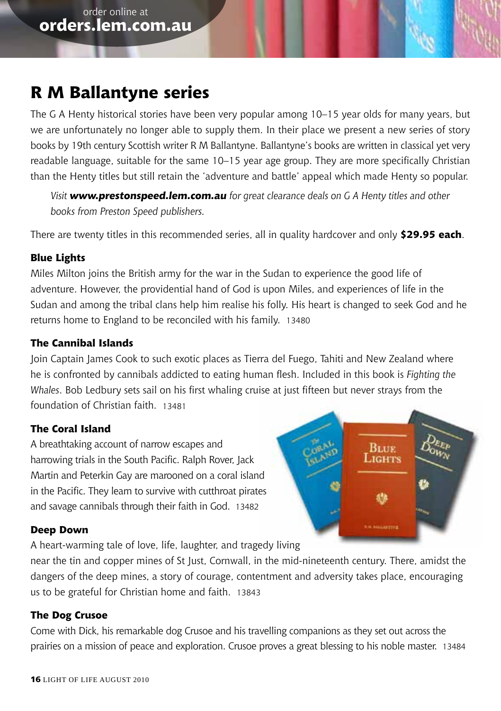### **R M Ballantyne series**

The G A Henty historical stories have been very popular among 10–15 year olds for many years, but we are unfortunately no longer able to supply them. In their place we present a new series of story books by 19th century Scottish writer R M Ballantyne. Ballantyne's books are written in classical yet very readable language, suitable for the same 10–15 year age group. They are more specifically Christian than the Henty titles but still retain the 'adventure and battle' appeal which made Henty so popular.

*Visit www.prestonspeed.lem.com.au for great clearance deals on G A Henty titles and other books from Preston Speed publishers.*

There are twenty titles in this recommended series, all in quality hardcover and only **\$29.95 each**.

#### **Blue Lights**

Miles Milton joins the British army for the war in the Sudan to experience the good life of adventure. However, the providential hand of God is upon Miles, and experiences of life in the Sudan and among the tribal clans help him realise his folly. His heart is changed to seek God and he returns home to England to be reconciled with his family. 13480

#### **The Cannibal Islands**

Join Captain James Cook to such exotic places as Tierra del Fuego, Tahiti and New Zealand where he is confronted by cannibals addicted to eating human flesh. Included in this book is *Fighting the Whales*. Bob Ledbury sets sail on his first whaling cruise at just fifteen but never strays from the foundation of Christian faith. 13481

#### **The Coral Island**

A breathtaking account of narrow escapes and harrowing trials in the South Pacific. Ralph Rover, Jack Martin and Peterkin Gay are marooned on a coral island in the Pacific. They learn to survive with cutthroat pirates and savage cannibals through their faith in God. 13482

#### **Deep Down**

A heart-warming tale of love, life, laughter, and tragedy living

near the tin and copper mines of St Just, Cornwall, in the mid-nineteenth century. There, amidst the dangers of the deep mines, a story of courage, contentment and adversity takes place, encouraging us to be grateful for Christian home and faith. 13843

#### **The Dog Crusoe**

Come with Dick, his remarkable dog Crusoe and his travelling companions as they set out across the prairies on a mission of peace and exploration. Crusoe proves a great blessing to his noble master. 13484

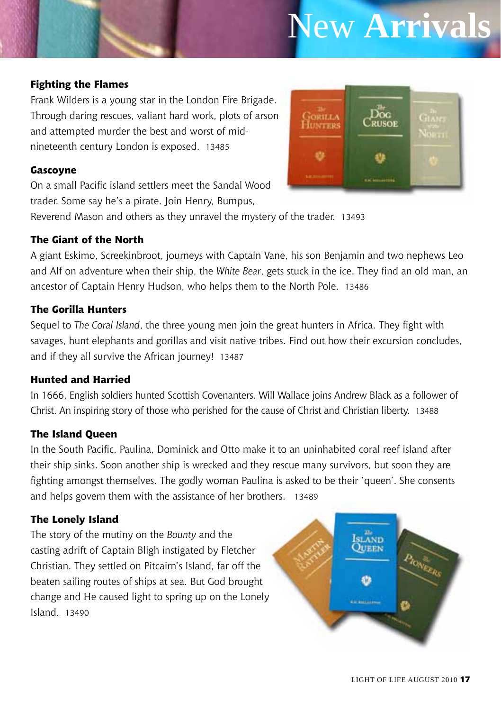# New **Arrivals**

#### **Fighting the Flames**

Frank Wilders is a young star in the London Fire Brigade. Through daring rescues, valiant hard work, plots of arson and attempted murder the best and worst of midnineteenth century London is exposed. 13485

#### **Gascoyne**

On a small Pacific island settlers meet the Sandal Wood trader. Some say he's a pirate. Join Henry, Bumpus,



Reverend Mason and others as they unravel the mystery of the trader. 13493

#### **The Giant of the North**

A giant Eskimo, Screekinbroot, journeys with Captain Vane, his son Benjamin and two nephews Leo and Alf on adventure when their ship, the *White Bear*, gets stuck in the ice. They find an old man, an ancestor of Captain Henry Hudson, who helps them to the North Pole. 13486

#### **The Gorilla Hunters**

Sequel to *The Coral Island*, the three young men join the great hunters in Africa. They fight with savages, hunt elephants and gorillas and visit native tribes. Find out how their excursion concludes, and if they all survive the African journey! 13487

#### **Hunted and Harried**

In 1666, English soldiers hunted Scottish Covenanters. Will Wallace joins Andrew Black as a follower of Christ. An inspiring story of those who perished for the cause of Christ and Christian liberty. 13488

#### **The Island Queen**

In the South Pacific, Paulina, Dominick and Otto make it to an uninhabited coral reef island after their ship sinks. Soon another ship is wrecked and they rescue many survivors, but soon they are fighting amongst themselves. The godly woman Paulina is asked to be their 'queen'. She consents and helps govern them with the assistance of her brothers. 13489

#### **The Lonely Island**

The story of the mutiny on the *Bounty* and the casting adrift of Captain Bligh instigated by Fletcher Christian. They settled on Pitcairn's Island, far off the beaten sailing routes of ships at sea. But God brought change and He caused light to spring up on the Lonely Island. 13490

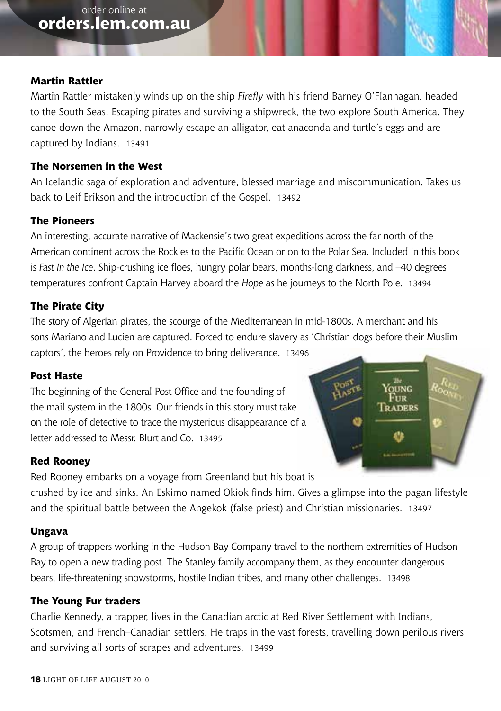#### **Martin Rattler**

Martin Rattler mistakenly winds up on the ship *Firefly* with his friend Barney O'Flannagan, headed to the South Seas. Escaping pirates and surviving a shipwreck, the two explore South America. They canoe down the Amazon, narrowly escape an alligator, eat anaconda and turtle's eggs and are captured by Indians. 13491

#### **The Norsemen in the West**

An Icelandic saga of exploration and adventure, blessed marriage and miscommunication. Takes us back to Leif Erikson and the introduction of the Gospel. 13492

#### **The Pioneers**

An interesting, accurate narrative of Mackensie's two great expeditions across the far north of the American continent across the Rockies to the Pacific Ocean or on to the Polar Sea. Included in this book is *Fast In the Ice*. Ship-crushing ice floes, hungry polar bears, months-long darkness, and –40 degrees temperatures confront Captain Harvey aboard the *Hope* as he journeys to the North Pole. 13494

#### **The Pirate City**

The story of Algerian pirates, the scourge of the Mediterranean in mid-1800s. A merchant and his sons Mariano and Lucien are captured. Forced to endure slavery as 'Christian dogs before their Muslim captors', the heroes rely on Providence to bring deliverance. 13496

#### **Post Haste**

The beginning of the General Post Office and the founding of the mail system in the 1800s. Our friends in this story must take on the role of detective to trace the mysterious disappearance of a letter addressed to Messr. Blurt and Co. 13495



**RADERS** 

Red Rooney embarks on a voyage from Greenland but his boat is crushed by ice and sinks. An Eskimo named Okiok finds him. Gives a glimpse into the pagan lifestyle and the spiritual battle between the Angekok (false priest) and Christian missionaries. 13497

#### **Ungava**

A group of trappers working in the Hudson Bay Company travel to the northern extremities of Hudson Bay to open a new trading post. The Stanley family accompany them, as they encounter dangerous bears, life-threatening snowstorms, hostile Indian tribes, and many other challenges. 13498

#### **The Young Fur traders**

Charlie Kennedy, a trapper, lives in the Canadian arctic at Red River Settlement with Indians, Scotsmen, and French–Canadian settlers. He traps in the vast forests, travelling down perilous rivers and surviving all sorts of scrapes and adventures. 13499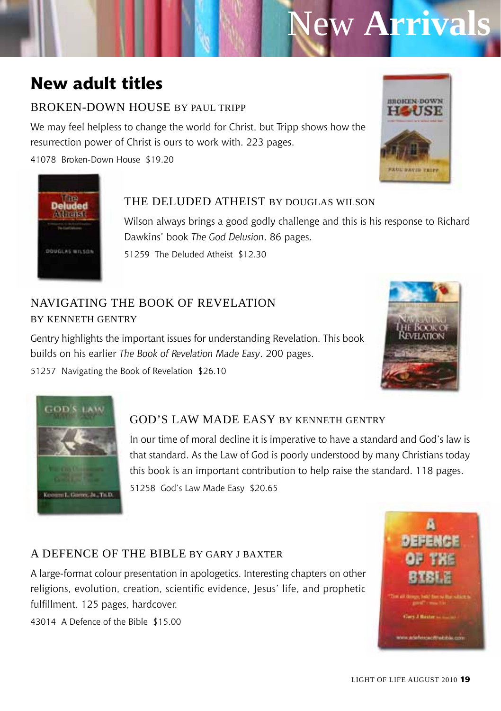# New **Arrivals**

### **New adult titles**

#### BROKEN-DOWN HOUSE BY PAUL TRIPP

We may feel helpless to change the world for Christ, but Tripp shows how the resurrection power of Christ is ours to work with. 223 pages.

41078 Broken-Down House \$19.20





#### The Deluded Atheist by Douglas Wilson

Wilson always brings a good godly challenge and this is his response to Richard Dawkins' book *The God Delusion*. 86 pages.

51259 The Deluded Atheist \$12.30

#### Navigating the Book of Revelation by Kenneth Gentry

Gentry highlights the important issues for understanding Revelation. This book builds on his earlier *The Book of Revelation Made Easy*. 200 pages.

51257 Navigating the Book of Revelation \$26.10





#### God's Law Made Easy by Kenneth Gentry

In our time of moral decline it is imperative to have a standard and God's law is that standard. As the Law of God is poorly understood by many Christians today this book is an important contribution to help raise the standard. 118 pages. 51258 God's Law Made Easy \$20.65

#### A Defence of the Bible by Gary J Baxter

A large-format colour presentation in apologetics. Interesting chapters on other religions, evolution, creation, scientific evidence, Jesus' life, and prophetic fulfillment. 125 pages, hardcover.

43014 A Defence of the Bible \$15.00

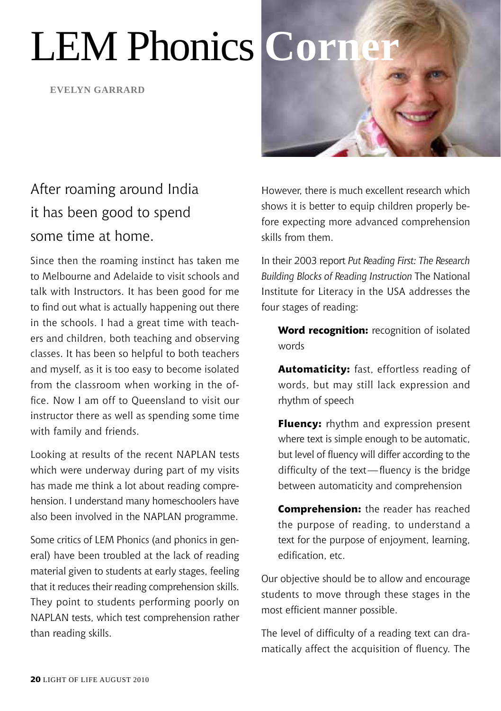# LEM Phonics **Corn**

**Evelyn garrard**



## After roaming around India it has been good to spend some time at home.

Since then the roaming instinct has taken me to Melbourne and Adelaide to visit schools and talk with Instructors. It has been good for me to find out what is actually happening out there in the schools. I had a great time with teachers and children, both teaching and observing classes. It has been so helpful to both teachers and myself, as it is too easy to become isolated from the classroom when working in the office. Now I am off to Queensland to visit our instructor there as well as spending some time with family and friends.

Looking at results of the recent NAPLAN tests which were underway during part of my visits has made me think a lot about reading comprehension. I understand many homeschoolers have also been involved in the NAPLAN programme.

Some critics of LEM Phonics (and phonics in general) have been troubled at the lack of reading material given to students at early stages, feeling that it reduces their reading comprehension skills. They point to students performing poorly on NAPLAN tests, which test comprehension rather than reading skills.

However, there is much excellent research which shows it is better to equip children properly before expecting more advanced comprehension skills from them.

In their 2003 report *Put Reading First: The Research Building Blocks of Reading Instruction* The National Institute for Literacy in the USA addresses the four stages of reading:

**Word recognition:** recognition of isolated words

**Automaticity:** fast, effortless reading of words, but may still lack expression and rhythm of speech

**Fluency:** rhythm and expression present where text is simple enough to be automatic, but level of fluency will differ according to the difficulty of the text—fluency is the bridge between automaticity and comprehension

**Comprehension:** the reader has reached the purpose of reading, to understand a text for the purpose of enjoyment, learning, edification, etc.

Our objective should be to allow and encourage students to move through these stages in the most efficient manner possible.

The level of difficulty of a reading text can dramatically affect the acquisition of fluency. The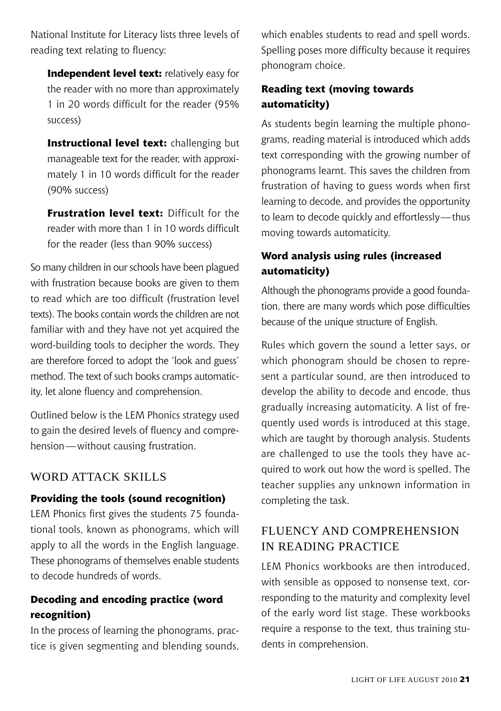National Institute for Literacy lists three levels of reading text relating to fluency:

**Independent level text:** relatively easy for the reader with no more than approximately 1 in 20 words difficult for the reader (95% success)

**Instructional level text:** challenging but manageable text for the reader, with approximately 1 in 10 words difficult for the reader (90% success)

**Frustration level text: Difficult for the** reader with more than 1 in 10 words difficult for the reader (less than 90% success)

So many children in our schools have been plagued with frustration because books are given to them to read which are too difficult (frustration level texts). The books contain words the children are not familiar with and they have not yet acquired the word-building tools to decipher the words. They are therefore forced to adopt the 'look and guess' method. The text of such books cramps automaticity, let alone fluency and comprehension.

Outlined below is the LEM Phonics strategy used to gain the desired levels of fluency and comprehension—without causing frustration.

#### WORD ATTACK SKILLS

#### **Providing the tools (sound recognition)**

LEM Phonics first gives the students 75 foundational tools, known as phonograms, which will apply to all the words in the English language. These phonograms of themselves enable students to decode hundreds of words.

#### **Decoding and encoding practice (word recognition)**

In the process of learning the phonograms, practice is given segmenting and blending sounds, which enables students to read and spell words. Spelling poses more difficulty because it requires phonogram choice.

#### **Reading text (moving towards automaticity)**

As students begin learning the multiple phonograms, reading material is introduced which adds text corresponding with the growing number of phonograms learnt. This saves the children from frustration of having to guess words when first learning to decode, and provides the opportunity to learn to decode quickly and effortlessly—thus moving towards automaticity.

#### **Word analysis using rules (increased automaticity)**

Although the phonograms provide a good foundation, there are many words which pose difficulties because of the unique structure of English.

Rules which govern the sound a letter says, or which phonogram should be chosen to represent a particular sound, are then introduced to develop the ability to decode and encode, thus gradually increasing automaticity. A list of frequently used words is introduced at this stage, which are taught by thorough analysis. Students are challenged to use the tools they have acquired to work out how the word is spelled. The teacher supplies any unknown information in completing the task.

#### Fluency and Comprehension in Reading Practice

LEM Phonics workbooks are then introduced, with sensible as opposed to nonsense text, corresponding to the maturity and complexity level of the early word list stage. These workbooks require a response to the text, thus training students in comprehension.